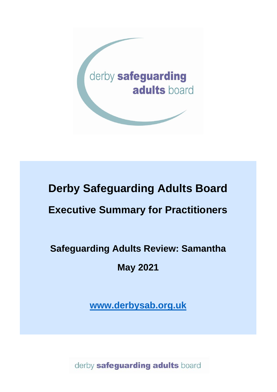

# **Derby Safeguarding Adults Board Executive Summary for Practitioners**

## **Safeguarding Adults Review: Samantha**

**May 2021**

**[www.derbysab.org.uk](http://www.derbysab.org.uk/)**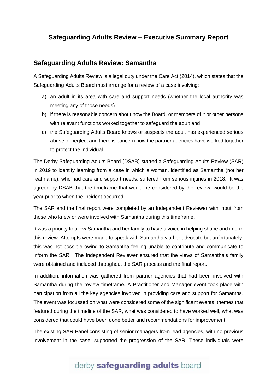## **Safeguarding Adults Review – Executive Summary Report**

#### **Safeguarding Adults Review: Samantha**

A Safeguarding Adults Review is a legal duty under the Care Act (2014), which states that the Safeguarding Adults Board must arrange for a review of a case involving:

- a) an adult in its area with care and support needs (whether the local authority was meeting any of those needs)
- b) if there is reasonable concern about how the Board, or members of it or other persons with relevant functions worked together to safeguard the adult and
- c) the Safeguarding Adults Board knows or suspects the adult has experienced serious abuse or neglect and there is concern how the partner agencies have worked together to protect the individual

The Derby Safeguarding Adults Board (DSAB) started a Safeguarding Adults Review (SAR) in 2019 to identify learning from a case in which a woman, identified as Samantha (not her real name), who had care and support needs, suffered from serious injuries in 2018. It was agreed by DSAB that the timeframe that would be considered by the review, would be the year prior to when the incident occurred.

The SAR and the final report were completed by an Independent Reviewer with input from those who knew or were involved with Samantha during this timeframe.

It was a priority to allow Samantha and her family to have a voice in helping shape and inform this review. Attempts were made to speak with Samantha via her advocate but unfortunately, this was not possible owing to Samantha feeling unable to contribute and communicate to inform the SAR. The Independent Reviewer ensured that the views of Samantha's family were obtained and included throughout the SAR process and the final report.

In addition, information was gathered from partner agencies that had been involved with Samantha during the review timeframe. A Practitioner and Manager event took place with participation from all the key agencies involved in providing care and support for Samantha. The event was focussed on what were considered some of the significant events, themes that featured during the timeline of the SAR, what was considered to have worked well, what was considered that could have been done better and recommendations for improvement.

The existing SAR Panel consisting of senior managers from lead agencies, with no previous involvement in the case, supported the progression of the SAR. These individuals were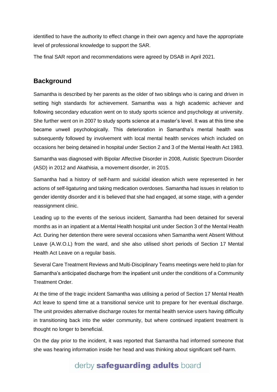identified to have the authority to effect change in their own agency and have the appropriate level of professional knowledge to support the SAR.

The final SAR report and recommendations were agreed by DSAB in April 2021.

### **Background**

Samantha is described by her parents as the older of two siblings who is caring and driven in setting high standards for achievement. Samantha was a high academic achiever and following secondary education went on to study sports science and psychology at university. She further went on in 2007 to study sports science at a master's level. It was at this time she became unwell psychologically. This deterioration in Samantha's mental health was subsequently followed by involvement with local mental health services which included on occasions her being detained in hospital under Section 2 and 3 of the Mental Health Act 1983.

Samantha was diagnosed with Bipolar Affective Disorder in 2008, Autistic Spectrum Disorder (ASD) in 2012 and Akathisia, a movement disorder, in 2015.

Samantha had a history of self-harm and suicidal ideation which were represented in her actions of self-ligaturing and taking medication overdoses. Samantha had issues in relation to gender identity disorder and it is believed that she had engaged, at some stage, with a gender reassignment clinic.

Leading up to the events of the serious incident, Samantha had been detained for several months as in an inpatient at a Mental Health hospital unit under Section 3 of the Mental Health Act. During her detention there were several occasions when Samantha went Absent Without Leave (A.W.O.L) from the ward, and she also utilised short periods of Section 17 Mental Health Act Leave on a regular basis.

Several Care Treatment Reviews and Multi-Disciplinary Teams meetings were held to plan for Samantha's anticipated discharge from the inpatient unit under the conditions of a Community Treatment Order.

At the time of the tragic incident Samantha was utilising a period of Section 17 Mental Health Act leave to spend time at a transitional service unit to prepare for her eventual discharge. The unit provides alternative discharge routes for mental health service users having difficulty in transitioning back into the wider community, but where continued inpatient treatment is thought no longer to beneficial.

On the day prior to the incident, it was reported that Samantha had informed someone that she was hearing information inside her head and was thinking about significant self-harm.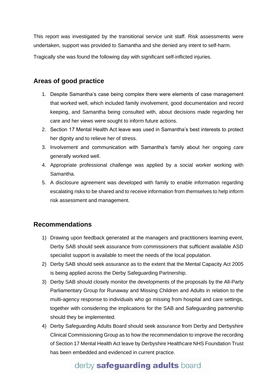This report was investigated by the transitional service unit staff. Risk assessments were undertaken, support was provided to Samantha and she denied any intent to self-harm.

Tragically she was found the following day with significant self-inflicted injuries.

### **Areas of good practice**

- 1. Despite Samantha's case being complex there were elements of case management that worked well, which included family involvement, good documentation and record keeping, and Samantha being consulted with, about decisions made regarding her care and her views were sought to inform future actions.
- 2. Section 17 Mental Health Act leave was used in Samantha's best interests to protect her dignity and to relieve her of stress.
- 3. Involvement and communication with Samantha's family about her ongoing care generally worked well.
- 4. Appropriate professional challenge was applied by a social worker working with Samantha.
- 5. A disclosure agreement was developed with family to enable information regarding escalating risks to be shared and to receive information from themselves to help inform risk assessment and management.

## **Recommendations**

- 1) Drawing upon feedback generated at the managers and practitioners learning event, Derby SAB should seek assurance from commissioners that sufficient available ASD specialist support is available to meet the needs of the local population.
- 2) Derby SAB should seek assurance as to the extent that the Mental Capacity Act 2005 is being applied across the Derby Safeguarding Partnership.
- 3) Derby SAB should closely monitor the developments of the proposals by the All-Party Parliamentary Group for Runaway and Missing Children and Adults in relation to the multi-agency response to individuals who go missing from hospital and care settings, together with considering the implications for the SAB and Safeguarding partnership should they be implemented.
- 4) Derby Safeguarding Adults Board should seek assurance from Derby and Derbyshire Clinical Commissioning Group as to how the recommendation to improve the recording of Section 17 Mental Health Act leave by Derbyshire Healthcare NHS Foundation Trust has been embedded and evidenced in current practice.